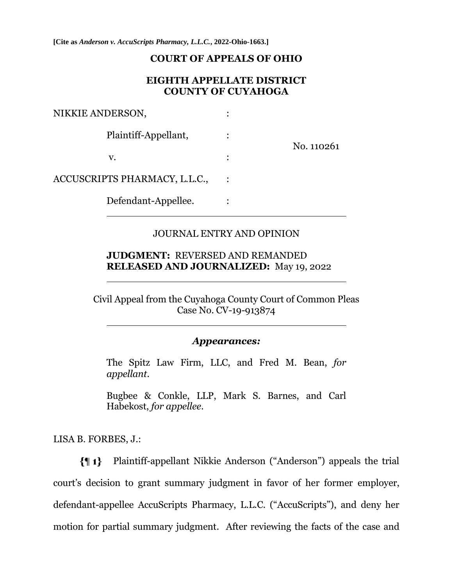**[Cite as** *Anderson v. AccuScripts Pharmacy, L.L.C.***, 2022-Ohio-1663.]**

#### **COURT OF APPEALS OF OHIO**

### **EIGHTH APPELLATE DISTRICT COUNTY OF CUYAHOGA**

| NIKKIE ANDERSON,              |  |            |
|-------------------------------|--|------------|
| Plaintiff-Appellant,          |  | No. 110261 |
| V.                            |  |            |
| ACCUSCRIPTS PHARMACY, L.L.C., |  |            |
| Defendant-Appellee.           |  |            |

### JOURNAL ENTRY AND OPINION

### **JUDGMENT:** REVERSED AND REMANDED **RELEASED AND JOURNALIZED:** May 19, 2022

Civil Appeal from the Cuyahoga County Court of Common Pleas Case No. CV-19-913874

#### *Appearances:*

The Spitz Law Firm, LLC, and Fred M. Bean, *for appellant*.

Bugbee & Conkle, LLP, Mark S. Barnes, and Carl Habekost, *for appellee*.

LISA B. FORBES, J.:

Plaintiff-appellant Nikkie Anderson ("Anderson") appeals the trial {¶ 1}court's decision to grant summary judgment in favor of her former employer, defendant-appellee AccuScripts Pharmacy, L.L.C. ("AccuScripts"), and deny her motion for partial summary judgment. After reviewing the facts of the case and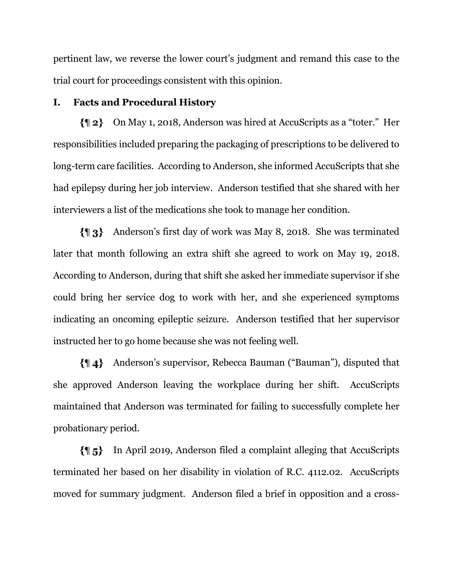pertinent law, we reverse the lower court's judgment and remand this case to the trial court for proceedings consistent with this opinion.

## **I. Facts and Procedural History**

On May 1, 2018, Anderson was hired at AccuScripts as a "toter." Her responsibilities included preparing the packaging of prescriptions to be delivered to long-term care facilities. According to Anderson, she informed AccuScripts that she had epilepsy during her job interview. Anderson testified that she shared with her interviewers a list of the medications she took to manage her condition.

Anderson's first day of work was May 8, 2018. She was terminated later that month following an extra shift she agreed to work on May 19, 2018. According to Anderson, during that shift she asked her immediate supervisor if she could bring her service dog to work with her, and she experienced symptoms indicating an oncoming epileptic seizure. Anderson testified that her supervisor instructed her to go home because she was not feeling well.

Anderson's supervisor, Rebecca Bauman ("Bauman"), disputed that she approved Anderson leaving the workplace during her shift. AccuScripts maintained that Anderson was terminated for failing to successfully complete her probationary period.

In April 2019, Anderson filed a complaint alleging that AccuScripts terminated her based on her disability in violation of R.C. 4112.02. AccuScripts moved for summary judgment. Anderson filed a brief in opposition and a cross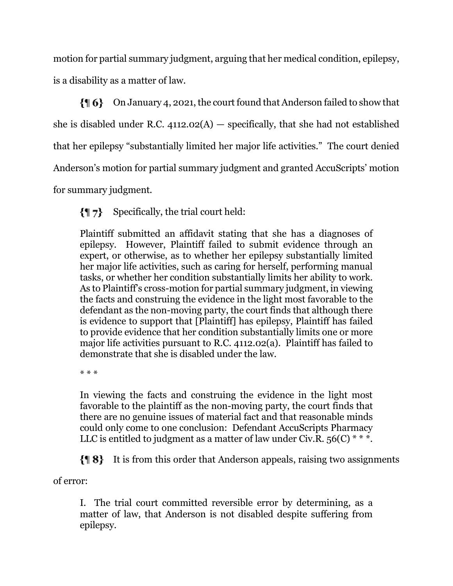motion for partial summary judgment, arguing that her medical condition, epilepsy, is a disability as a matter of law.

 $\{ \parallel 6 \}$  On January 4, 2021, the court found that Anderson failed to show that she is disabled under R.C.  $4112.02(A)$  – specifically, that she had not established that her epilepsy "substantially limited her major life activities." The court denied Anderson's motion for partial summary judgment and granted AccuScripts' motion for summary judgment.

Specifically, the trial court held: {¶ 7}

Plaintiff submitted an affidavit stating that she has a diagnoses of epilepsy. However, Plaintiff failed to submit evidence through an expert, or otherwise, as to whether her epilepsy substantially limited her major life activities, such as caring for herself, performing manual tasks, or whether her condition substantially limits her ability to work. As to Plaintiff's cross-motion for partial summary judgment, in viewing the facts and construing the evidence in the light most favorable to the defendant as the non-moving party, the court finds that although there is evidence to support that [Plaintiff] has epilepsy, Plaintiff has failed to provide evidence that her condition substantially limits one or more major life activities pursuant to R.C. 4112.02(a). Plaintiff has failed to demonstrate that she is disabled under the law.

\* \* \*

In viewing the facts and construing the evidence in the light most favorable to the plaintiff as the non-moving party, the court finds that there are no genuine issues of material fact and that reasonable minds could only come to one conclusion: Defendant AccuScripts Pharmacy LLC is entitled to judgment as a matter of law under Civ.R.  $56(C)$  \* \* \*.

It is from this order that Anderson appeals, raising two assignments

of error:

I. The trial court committed reversible error by determining, as a matter of law, that Anderson is not disabled despite suffering from epilepsy.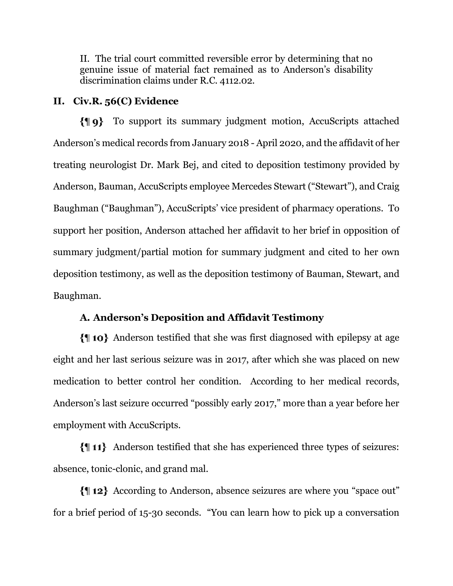II. The trial court committed reversible error by determining that no genuine issue of material fact remained as to Anderson's disability discrimination claims under R.C. 4112.02.

### **II. Civ.R. 56(C) Evidence**

To support its summary judgment motion, AccuScripts attached Anderson's medical records from January 2018 - April 2020, and the affidavit of her treating neurologist Dr. Mark Bej, and cited to deposition testimony provided by Anderson, Bauman, AccuScripts employee Mercedes Stewart ("Stewart"), and Craig Baughman ("Baughman"), AccuScripts' vice president of pharmacy operations. To support her position, Anderson attached her affidavit to her brief in opposition of summary judgment/partial motion for summary judgment and cited to her own deposition testimony, as well as the deposition testimony of Bauman, Stewart, and Baughman.

## **A. Anderson's Deposition and Affidavit Testimony**

Anderson testified that she was first diagnosed with epilepsy at age eight and her last serious seizure was in 2017, after which she was placed on new medication to better control her condition. According to her medical records, Anderson's last seizure occurred "possibly early 2017," more than a year before her employment with AccuScripts.

Anderson testified that she has experienced three types of seizures: absence, tonic-clonic, and grand mal.

According to Anderson, absence seizures are where you "space out" for a brief period of 15-30 seconds. "You can learn how to pick up a conversation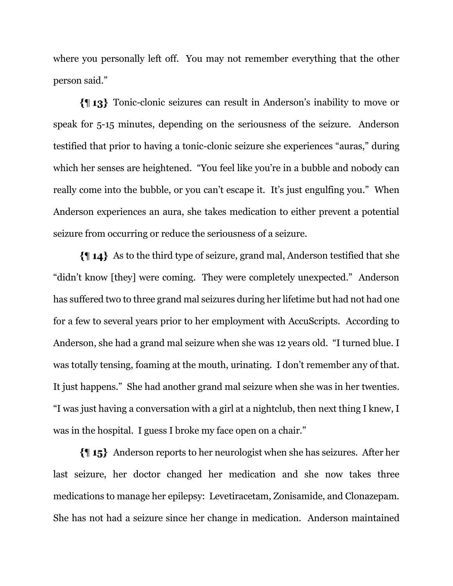where you personally left off. You may not remember everything that the other person said."

Tonic-clonic seizures can result in Anderson's inability to move or speak for 5-15 minutes, depending on the seriousness of the seizure. Anderson testified that prior to having a tonic-clonic seizure she experiences "auras," during which her senses are heightened. "You feel like you're in a bubble and nobody can really come into the bubble, or you can't escape it. It's just engulfing you." When Anderson experiences an aura, she takes medication to either prevent a potential seizure from occurring or reduce the seriousness of a seizure.

As to the third type of seizure, grand mal, Anderson testified that she "didn't know [they] were coming. They were completely unexpected." Anderson has suffered two to three grand mal seizures during her lifetime but had not had one for a few to several years prior to her employment with AccuScripts. According to Anderson, she had a grand mal seizure when she was 12 years old. "I turned blue. I was totally tensing, foaming at the mouth, urinating. I don't remember any of that. It just happens." She had another grand mal seizure when she was in her twenties. "I was just having a conversation with a girl at a nightclub, then next thing I knew, I was in the hospital. I guess I broke my face open on a chair."

Anderson reports to her neurologist when she has seizures. After her last seizure, her doctor changed her medication and she now takes three medications to manage her epilepsy: Levetiracetam, Zonisamide, and Clonazepam. She has not had a seizure since her change in medication. Anderson maintained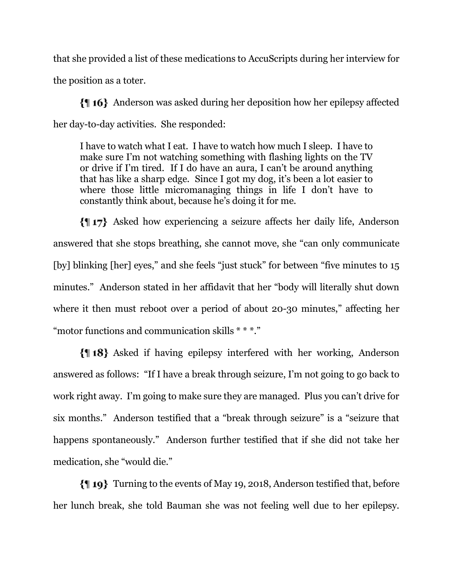that she provided a list of these medications to AccuScripts during her interview for the position as a toter.

Anderson was asked during her deposition how her epilepsy affected her day-to-day activities. She responded:

I have to watch what I eat. I have to watch how much I sleep. I have to make sure I'm not watching something with flashing lights on the TV or drive if I'm tired. If I do have an aura, I can't be around anything that has like a sharp edge. Since I got my dog, it's been a lot easier to where those little micromanaging things in life I don't have to constantly think about, because he's doing it for me.

Asked how experiencing a seizure affects her daily life, Anderson answered that she stops breathing, she cannot move, she "can only communicate [by] blinking [her] eyes," and she feels "just stuck" for between "five minutes to 15 minutes." Anderson stated in her affidavit that her "body will literally shut down where it then must reboot over a period of about 20-30 minutes," affecting her "motor functions and communication skills \* \* \*."

Asked if having epilepsy interfered with her working, Anderson answered as follows: "If I have a break through seizure, I'm not going to go back to work right away. I'm going to make sure they are managed. Plus you can't drive for six months." Anderson testified that a "break through seizure" is a "seizure that happens spontaneously." Anderson further testified that if she did not take her medication, she "would die."

Turning to the events of May 19, 2018, Anderson testified that, before her lunch break, she told Bauman she was not feeling well due to her epilepsy.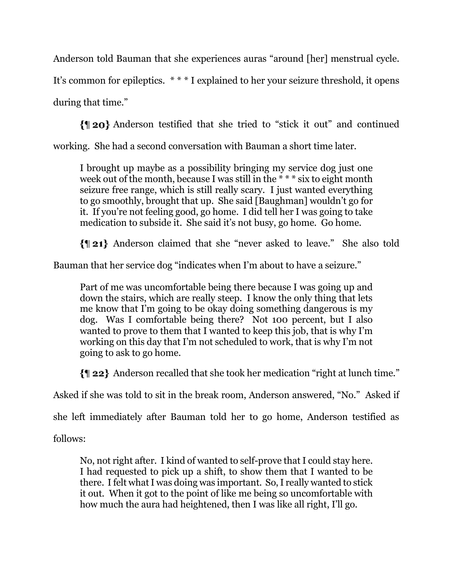Anderson told Bauman that she experiences auras "around [her] menstrual cycle.

It's common for epileptics. \* \* \* I explained to her your seizure threshold, it opens

during that time."

Anderson testified that she tried to "stick it out" and continued

working. She had a second conversation with Bauman a short time later.

I brought up maybe as a possibility bringing my service dog just one week out of the month, because I was still in the \* \* \* six to eight month seizure free range, which is still really scary. I just wanted everything to go smoothly, brought that up. She said [Baughman] wouldn't go for it. If you're not feeling good, go home. I did tell her I was going to take medication to subside it. She said it's not busy, go home. Go home.

Anderson claimed that she "never asked to leave." She also told

Bauman that her service dog "indicates when I'm about to have a seizure."

Part of me was uncomfortable being there because I was going up and down the stairs, which are really steep. I know the only thing that lets me know that I'm going to be okay doing something dangerous is my dog. Was I comfortable being there? Not 100 percent, but I also wanted to prove to them that I wanted to keep this job, that is why I'm working on this day that I'm not scheduled to work, that is why I'm not going to ask to go home.

Anderson recalled that she took her medication "right at lunch time."

Asked if she was told to sit in the break room, Anderson answered, "No." Asked if

she left immediately after Bauman told her to go home, Anderson testified as

follows:

No, not right after. I kind of wanted to self-prove that I could stay here. I had requested to pick up a shift, to show them that I wanted to be there. I felt what I was doing was important. So, I really wanted to stick it out. When it got to the point of like me being so uncomfortable with how much the aura had heightened, then I was like all right, I'll go.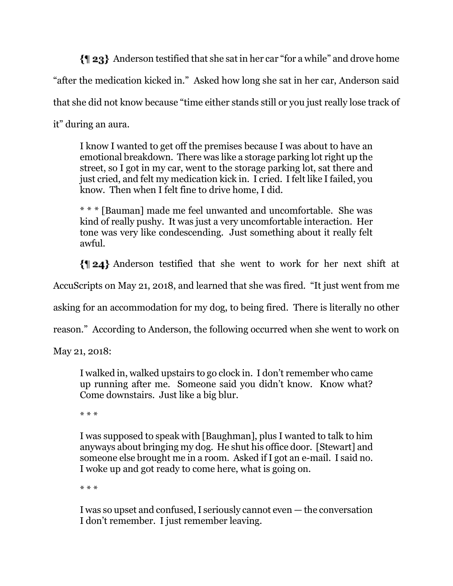Anderson testified that she sat in her car "for a while" and drove home "after the medication kicked in." Asked how long she sat in her car, Anderson said that she did not know because "time either stands still or you just really lose track of it" during an aura.

I know I wanted to get off the premises because I was about to have an emotional breakdown. There was like a storage parking lot right up the street, so I got in my car, went to the storage parking lot, sat there and just cried, and felt my medication kick in. I cried. I felt like I failed, you know. Then when I felt fine to drive home, I did.

\* \* \* [Bauman] made me feel unwanted and uncomfortable. She was kind of really pushy. It was just a very uncomfortable interaction. Her tone was very like condescending. Just something about it really felt awful.

Anderson testified that she went to work for her next shift at

AccuScripts on May 21, 2018, and learned that she was fired. "It just went from me

asking for an accommodation for my dog, to being fired. There is literally no other

reason." According to Anderson, the following occurred when she went to work on

May 21, 2018:

I walked in, walked upstairs to go clock in. I don't remember who came up running after me. Someone said you didn't know. Know what? Come downstairs. Just like a big blur.

\* \* \*

I was supposed to speak with [Baughman], plus I wanted to talk to him anyways about bringing my dog. He shut his office door. [Stewart] and someone else brought me in a room. Asked if I got an e-mail. I said no. I woke up and got ready to come here, what is going on.

\* \* \*

I was so upset and confused, I seriously cannot even — the conversation I don't remember. I just remember leaving.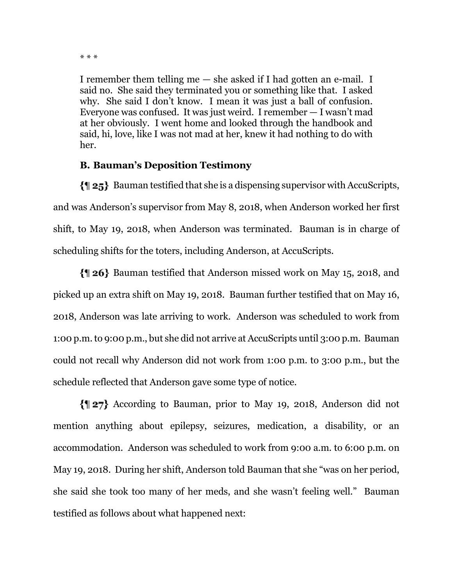I remember them telling me — she asked if I had gotten an e-mail. I said no. She said they terminated you or something like that. I asked why. She said I don't know. I mean it was just a ball of confusion. Everyone was confused. It was just weird. I remember — I wasn't mad at her obviously. I went home and looked through the handbook and said, hi, love, like I was not mad at her, knew it had nothing to do with her.

# **B. Bauman's Deposition Testimony**

 $\{||25\}$  Bauman testified that she is a dispensing supervisor with AccuScripts, and was Anderson's supervisor from May 8, 2018, when Anderson worked her first shift, to May 19, 2018, when Anderson was terminated. Bauman is in charge of scheduling shifts for the toters, including Anderson, at AccuScripts.

Bauman testified that Anderson missed work on May 15, 2018, and picked up an extra shift on May 19, 2018. Bauman further testified that on May 16, 2018, Anderson was late arriving to work. Anderson was scheduled to work from 1:00 p.m. to 9:00 p.m., but she did not arrive at AccuScripts until 3:00 p.m. Bauman could not recall why Anderson did not work from 1:00 p.m. to 3:00 p.m., but the schedule reflected that Anderson gave some type of notice.

According to Bauman, prior to May 19, 2018, Anderson did not mention anything about epilepsy, seizures, medication, a disability, or an accommodation. Anderson was scheduled to work from 9:00 a.m. to 6:00 p.m. on May 19, 2018. During her shift, Anderson told Bauman that she "was on her period, she said she took too many of her meds, and she wasn't feeling well." Bauman testified as follows about what happened next:

<sup>\* \* \*</sup>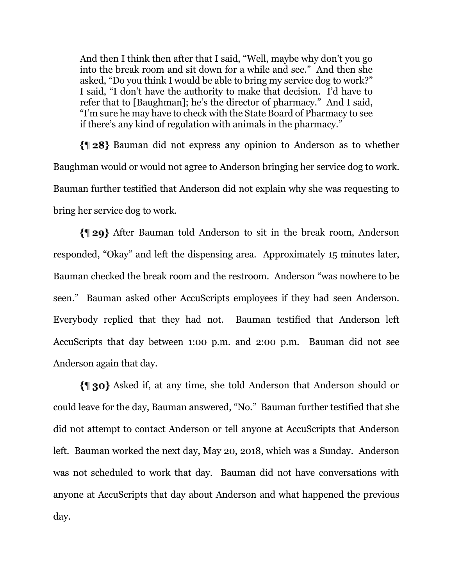And then I think then after that I said, "Well, maybe why don't you go into the break room and sit down for a while and see." And then she asked, "Do you think I would be able to bring my service dog to work?" I said, "I don't have the authority to make that decision. I'd have to refer that to [Baughman]; he's the director of pharmacy." And I said, "I'm sure he may have to check with the State Board of Pharmacy to see if there's any kind of regulation with animals in the pharmacy."

Bauman did not express any opinion to Anderson as to whether Baughman would or would not agree to Anderson bringing her service dog to work. Bauman further testified that Anderson did not explain why she was requesting to bring her service dog to work.

After Bauman told Anderson to sit in the break room, Anderson responded, "Okay" and left the dispensing area. Approximately 15 minutes later, Bauman checked the break room and the restroom. Anderson "was nowhere to be seen." Bauman asked other AccuScripts employees if they had seen Anderson. Everybody replied that they had not. Bauman testified that Anderson left AccuScripts that day between 1:00 p.m. and 2:00 p.m. Bauman did not see Anderson again that day.

Asked if, at any time, she told Anderson that Anderson should or could leave for the day, Bauman answered, "No." Bauman further testified that she did not attempt to contact Anderson or tell anyone at AccuScripts that Anderson left. Bauman worked the next day, May 20, 2018, which was a Sunday. Anderson was not scheduled to work that day. Bauman did not have conversations with anyone at AccuScripts that day about Anderson and what happened the previous day.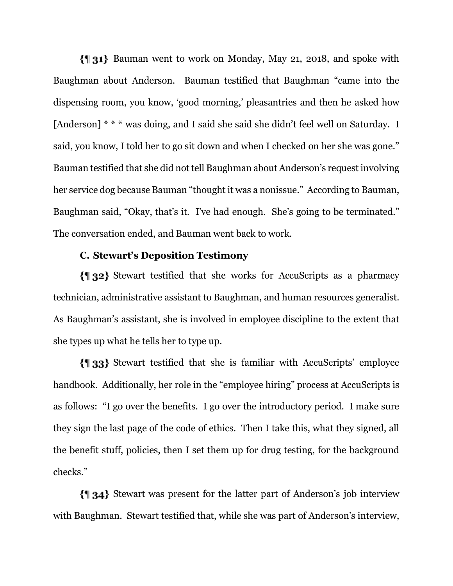Bauman went to work on Monday, May 21, 2018, and spoke with Baughman about Anderson. Bauman testified that Baughman "came into the dispensing room, you know, 'good morning,' pleasantries and then he asked how [Anderson] \* \* \* was doing, and I said she said she didn't feel well on Saturday. I said, you know, I told her to go sit down and when I checked on her she was gone." Bauman testified that she did not tell Baughman about Anderson's request involving her service dog because Bauman "thought it was a nonissue." According to Bauman, Baughman said, "Okay, that's it. I've had enough. She's going to be terminated." The conversation ended, and Bauman went back to work.

#### **C. Stewart's Deposition Testimony**

Stewart testified that she works for AccuScripts as a pharmacy technician, administrative assistant to Baughman, and human resources generalist. As Baughman's assistant, she is involved in employee discipline to the extent that she types up what he tells her to type up.

Stewart testified that she is familiar with AccuScripts' employee handbook. Additionally, her role in the "employee hiring" process at AccuScripts is as follows: "I go over the benefits. I go over the introductory period. I make sure they sign the last page of the code of ethics. Then I take this, what they signed, all the benefit stuff, policies, then I set them up for drug testing, for the background checks."

Stewart was present for the latter part of Anderson's job interview with Baughman. Stewart testified that, while she was part of Anderson's interview,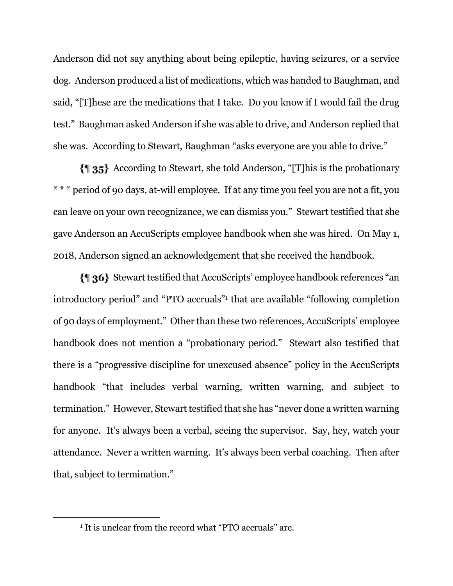Anderson did not say anything about being epileptic, having seizures, or a service dog. Anderson produced a list of medications, which was handed to Baughman, and said, "[T]hese are the medications that I take. Do you know if I would fail the drug test." Baughman asked Anderson if she was able to drive, and Anderson replied that she was. According to Stewart, Baughman "asks everyone are you able to drive."

According to Stewart, she told Anderson, "[T]his is the probationary \* \* \* period of 90 days, at-will employee. If at any time you feel you are not a fit, you can leave on your own recognizance, we can dismiss you." Stewart testified that she gave Anderson an AccuScripts employee handbook when she was hired. On May 1, 2018, Anderson signed an acknowledgement that she received the handbook.

Stewart testified that AccuScripts' employee handbook references "an introductory period" and "PTO accruals"<sup>1</sup> that are available "following completion of 90 days of employment." Other than these two references, AccuScripts' employee handbook does not mention a "probationary period." Stewart also testified that there is a "progressive discipline for unexcused absence" policy in the AccuScripts handbook "that includes verbal warning, written warning, and subject to termination." However, Stewart testified that she has "never done a written warning for anyone. It's always been a verbal, seeing the supervisor. Say, hey, watch your attendance. Never a written warning. It's always been verbal coaching. Then after that, subject to termination."

<sup>&</sup>lt;sup>1</sup> It is unclear from the record what "PTO accruals" are.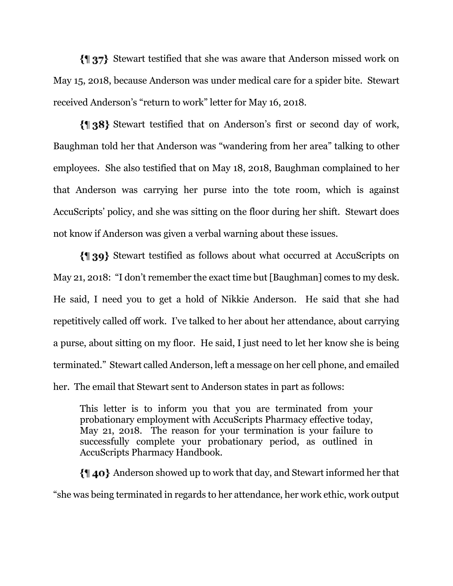Stewart testified that she was aware that Anderson missed work on May 15, 2018, because Anderson was under medical care for a spider bite. Stewart received Anderson's "return to work" letter for May 16, 2018.

Stewart testified that on Anderson's first or second day of work, Baughman told her that Anderson was "wandering from her area" talking to other employees. She also testified that on May 18, 2018, Baughman complained to her that Anderson was carrying her purse into the tote room, which is against AccuScripts' policy, and she was sitting on the floor during her shift. Stewart does not know if Anderson was given a verbal warning about these issues.

Stewart testified as follows about what occurred at AccuScripts on May 21, 2018: "I don't remember the exact time but [Baughman] comes to my desk. He said, I need you to get a hold of Nikkie Anderson. He said that she had repetitively called off work. I've talked to her about her attendance, about carrying a purse, about sitting on my floor. He said, I just need to let her know she is being terminated." Stewart called Anderson, left a message on her cell phone, and emailed her. The email that Stewart sent to Anderson states in part as follows:

This letter is to inform you that you are terminated from your probationary employment with AccuScripts Pharmacy effective today, May 21, 2018. The reason for your termination is your failure to successfully complete your probationary period, as outlined in AccuScripts Pharmacy Handbook.

Anderson showed up to work that day, and Stewart informed her that "she was being terminated in regards to her attendance, her work ethic, work output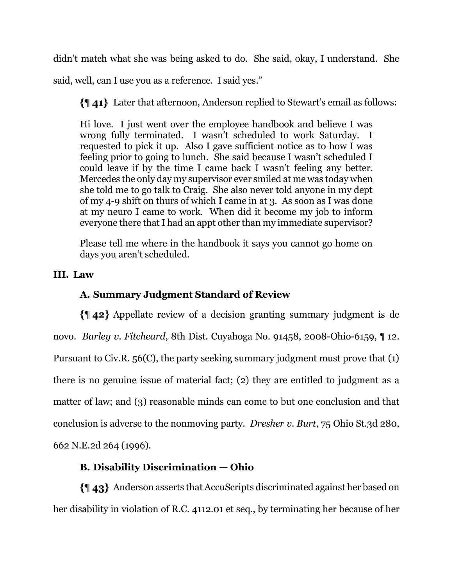didn't match what she was being asked to do. She said, okay, I understand. She

said, well, can I use you as a reference. I said yes."

Later that afternoon, Anderson replied to Stewart's email as follows:

Hi love. I just went over the employee handbook and believe I was wrong fully terminated. I wasn't scheduled to work Saturday. I requested to pick it up. Also I gave sufficient notice as to how I was feeling prior to going to lunch. She said because I wasn't scheduled I could leave if by the time I came back I wasn't feeling any better. Mercedes the only day my supervisor ever smiled at me was today when she told me to go talk to Craig. She also never told anyone in my dept of my 4-9 shift on thurs of which I came in at 3. As soon as I was done at my neuro I came to work. When did it become my job to inform everyone there that I had an appt other than my immediate supervisor?

Please tell me where in the handbook it says you cannot go home on days you aren't scheduled.

# **III. Law**

# **A. Summary Judgment Standard of Review**

Appellate review of a decision granting summary judgment is de novo. *Barley v. Fitcheard*, 8th Dist. Cuyahoga No. 91458, 2008-Ohio-6159, ¶ 12. Pursuant to Civ.R. 56(C), the party seeking summary judgment must prove that (1) there is no genuine issue of material fact; (2) they are entitled to judgment as a matter of law; and (3) reasonable minds can come to but one conclusion and that conclusion is adverse to the nonmoving party. *Dresher v. Burt*, 75 Ohio St.3d 280, 662 N.E.2d 264 (1996).

# **B. Disability Discrimination — Ohio**

Anderson asserts that AccuScripts discriminated against her based on her disability in violation of R.C. 4112.01 et seq., by terminating her because of her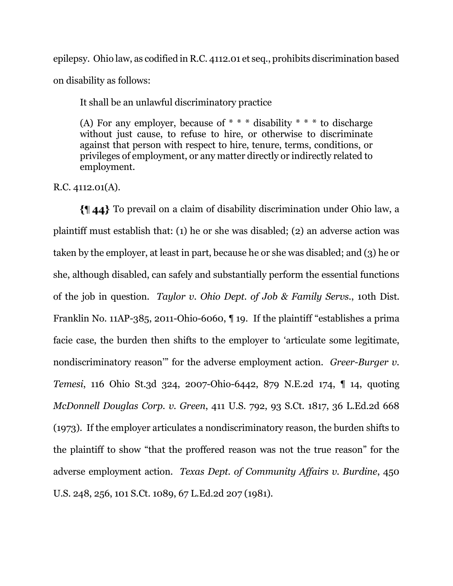epilepsy. Ohio law, as codified in R.C. 4112.01 et seq., prohibits discrimination based on disability as follows:

It shall be an unlawful discriminatory practice

(A) For any employer, because of  $* * *$  disability  $* * *$  to discharge without just cause, to refuse to hire, or otherwise to discriminate against that person with respect to hire, tenure, terms, conditions, or privileges of employment, or any matter directly or indirectly related to employment.

R.C. 4112.01(A).

To prevail on a claim of disability discrimination under Ohio law, a plaintiff must establish that: (1) he or she was disabled; (2) an adverse action was taken by the employer, at least in part, because he or she was disabled; and (3) he or she, although disabled, can safely and substantially perform the essential functions of the job in question. *Taylor v. Ohio Dept. of Job & Family Servs.*, 10th Dist. Franklin No. 11AP-385, 2011-Ohio-6060, ¶ 19. If the plaintiff "establishes a prima facie case, the burden then shifts to the employer to 'articulate some legitimate, nondiscriminatory reason'" for the adverse employment action. *Greer-Burger v. Temesi*, 116 Ohio St.3d 324, 2007-Ohio-6442, 879 N.E.2d 174, ¶ 14, quoting *McDonnell Douglas Corp. v. Green*, 411 U.S. 792, 93 S.Ct. 1817, 36 L.Ed.2d 668 (1973). If the employer articulates a nondiscriminatory reason, the burden shifts to the plaintiff to show "that the proffered reason was not the true reason" for the adverse employment action. *Texas Dept. of Community Affairs v. Burdine*, 450 U.S. 248, 256, 101 S.Ct. 1089, 67 L.Ed.2d 207 (1981).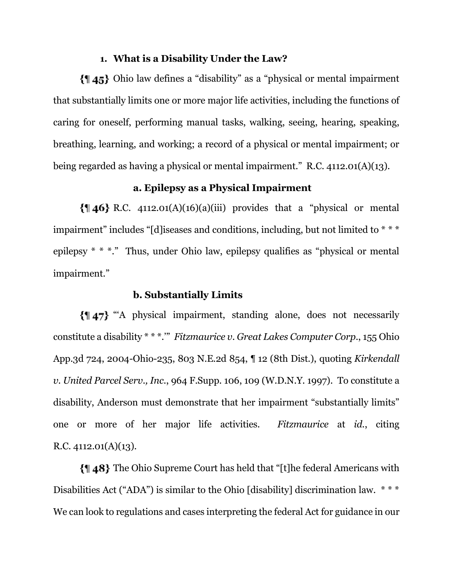### **1. What is a Disability Under the Law?**

Ohio law defines a "disability" as a "physical or mental impairment that substantially limits one or more major life activities, including the functions of caring for oneself, performing manual tasks, walking, seeing, hearing, speaking, breathing, learning, and working; a record of a physical or mental impairment; or being regarded as having a physical or mental impairment." R.C. 4112.01(A)(13).

## **a. Epilepsy as a Physical Impairment**

 $\{||46||$  R.C. 4112.01(A)(16)(a)(iii) provides that a "physical or mental impairment" includes "[d]iseases and conditions, including, but not limited to \* \* \* epilepsy \* \* \*." Thus, under Ohio law, epilepsy qualifies as "physical or mental impairment."

#### **b. Substantially Limits**

{147} "A physical impairment, standing alone, does not necessarily constitute a disability \* \* \*.'" *Fitzmaurice v. Great Lakes Computer Corp.*, 155 Ohio App.3d 724, 2004-Ohio-235, 803 N.E.2d 854, ¶ 12 (8th Dist.), quoting *Kirkendall v. United Parcel Serv., Inc.*, 964 F.Supp. 106, 109 (W.D.N.Y. 1997). To constitute a disability, Anderson must demonstrate that her impairment "substantially limits" one or more of her major life activities. *Fitzmaurice* at *id.*, citing R.C.  $4112.01(A)(13)$ .

The Ohio Supreme Court has held that "[t]he federal Americans with Disabilities Act ("ADA") is similar to the Ohio [disability] discrimination law. \*\*\* We can look to regulations and cases interpreting the federal Act for guidance in our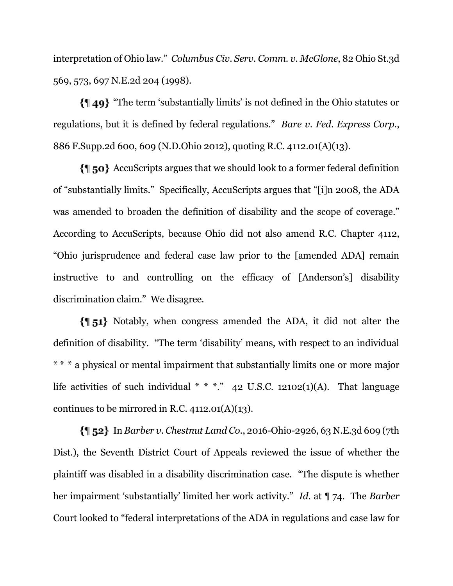interpretation of Ohio law." *Columbus Civ. Serv. Comm. v. McGlone*, 82 Ohio St.3d 569, 573, 697 N.E.2d 204 (1998).

"The term 'substantially limits' is not defined in the Ohio statutes or regulations, but it is defined by federal regulations." *Bare v. Fed. Express Corp*., 886 F.Supp.2d 600, 609 (N.D.Ohio 2012), quoting R.C. 4112.01(A)(13).

AccuScripts argues that we should look to a former federal definition of "substantially limits." Specifically, AccuScripts argues that "[i]n 2008, the ADA was amended to broaden the definition of disability and the scope of coverage." According to AccuScripts, because Ohio did not also amend R.C. Chapter 4112, "Ohio jurisprudence and federal case law prior to the [amended ADA] remain instructive to and controlling on the efficacy of [Anderson's] disability discrimination claim." We disagree.

 $\{\parallel$  51} Notably, when congress amended the ADA, it did not alter the definition of disability. "The term 'disability' means, with respect to an individual \* \* \* a physical or mental impairment that substantially limits one or more major life activities of such individual  $* * *$ ." 42 U.S.C. 12102(1)(A). That language continues to be mirrored in R.C.  $4112.01(A)(13)$ .

In *Barber v. Chestnut Land Co*., 2016-Ohio-2926, 63 N.E.3d 609 (7th Dist.), the Seventh District Court of Appeals reviewed the issue of whether the plaintiff was disabled in a disability discrimination case. "The dispute is whether her impairment 'substantially' limited her work activity." *Id*. at ¶ 74. The *Barber* Court looked to "federal interpretations of the ADA in regulations and case law for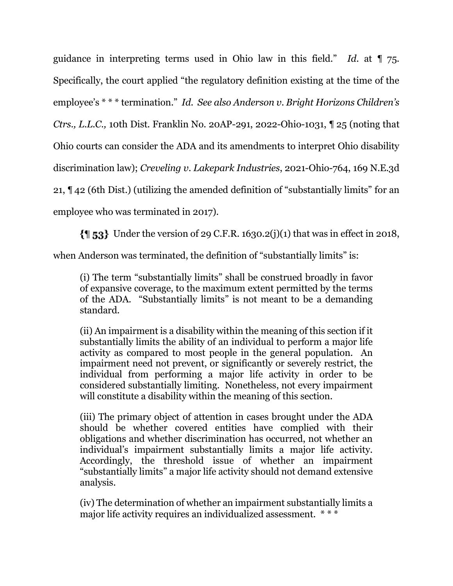guidance in interpreting terms used in Ohio law in this field." *Id*. at ¶ 75. Specifically, the court applied "the regulatory definition existing at the time of the employee's \* \* \* termination." *Id*. *See also Anderson v. Bright Horizons Children's Ctrs., L.L.C.,* 10th Dist. Franklin No. 20AP-291, 2022-Ohio-1031, ¶ 25 (noting that Ohio courts can consider the ADA and its amendments to interpret Ohio disability discrimination law); *Creveling v. Lakepark Industries*, 2021-Ohio-764, 169 N.E.3d 21, ¶ 42 (6th Dist.) (utilizing the amended definition of "substantially limits" for an employee who was terminated in 2017).

 $\{\parallel 53\}$  Under the version of 29 C.F.R. 1630.2(j)(1) that was in effect in 2018,

when Anderson was terminated, the definition of "substantially limits" is:

(i) The term "substantially limits" shall be construed broadly in favor of expansive coverage, to the maximum extent permitted by the terms of the ADA. "Substantially limits" is not meant to be a demanding standard.

(ii) An impairment is a disability within the meaning of this section if it substantially limits the ability of an individual to perform a major life activity as compared to most people in the general population. An impairment need not prevent, or significantly or severely restrict, the individual from performing a major life activity in order to be considered substantially limiting. Nonetheless, not every impairment will constitute a disability within the meaning of this section.

(iii) The primary object of attention in cases brought under the ADA should be whether covered entities have complied with their obligations and whether discrimination has occurred, not whether an individual's impairment substantially limits a major life activity. Accordingly, the threshold issue of whether an impairment "substantially limits" a major life activity should not demand extensive analysis.

(iv) The determination of whether an impairment substantially limits a major life activity requires an individualized assessment. \*\*\*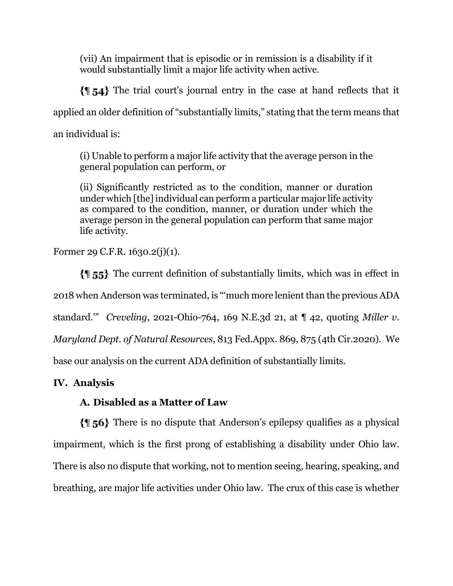(vii) An impairment that is episodic or in remission is a disability if it would substantially limit a major life activity when active.

The trial court's journal entry in the case at hand reflects that it applied an older definition of "substantially limits," stating that the term means that an individual is:

(i) Unable to perform a major life activity that the average person in the general population can perform, or

(ii) Significantly restricted as to the condition, manner or duration under which [the] individual can perform a particular major life activity as compared to the condition, manner, or duration under which the average person in the general population can perform that same major life activity.

Former 29 C.F.R. 1630.2(j)(1).

The current definition of substantially limits, which was in effect in 2018 when Anderson was terminated, is "'much more lenient than the previous ADA standard.'" *Creveling*, 2021-Ohio-764, 169 N.E.3d 21, at ¶ 42, quoting *Miller v. Maryland Dept. of Natural Resources*, 813 Fed.Appx. 869, 875 (4th Cir.2020). We base our analysis on the current ADA definition of substantially limits.

# **IV. Analysis**

# **A. Disabled as a Matter of Law**

There is no dispute that Anderson's epilepsy qualifies as a physical impairment, which is the first prong of establishing a disability under Ohio law. There is also no dispute that working, not to mention seeing, hearing, speaking, and breathing, are major life activities under Ohio law. The crux of this case is whether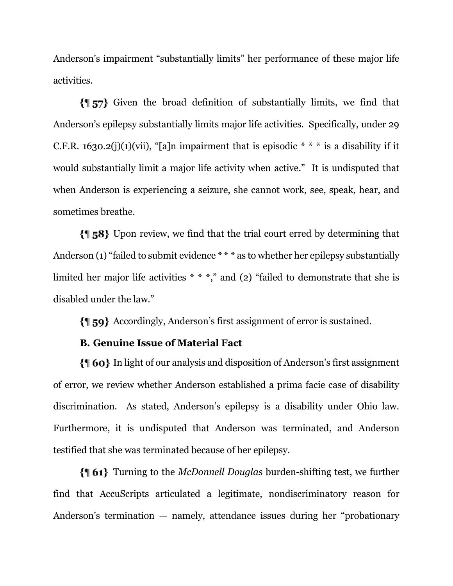Anderson's impairment "substantially limits" her performance of these major life activities.

Given the broad definition of substantially limits, we find that Anderson's epilepsy substantially limits major life activities. Specifically, under 29 C.F.R. 1630.2(j)(1)(vii), "[a]n impairment that is episodic  $* * *$  is a disability if it would substantially limit a major life activity when active." It is undisputed that when Anderson is experiencing a seizure, she cannot work, see, speak, hear, and sometimes breathe.

 $\{ \parallel 58 \}$  Upon review, we find that the trial court erred by determining that Anderson (1) "failed to submit evidence \* \* \* as to whether her epilepsy substantially limited her major life activities \* \* \*," and (2) "failed to demonstrate that she is disabled under the law."

Accordingly, Anderson's first assignment of error is sustained.

## **B. Genuine Issue of Material Fact**

In light of our analysis and disposition of Anderson's first assignment of error, we review whether Anderson established a prima facie case of disability discrimination. As stated, Anderson's epilepsy is a disability under Ohio law. Furthermore, it is undisputed that Anderson was terminated, and Anderson testified that she was terminated because of her epilepsy.

Turning to the *McDonnell Douglas* burden-shifting test, we further find that AccuScripts articulated a legitimate, nondiscriminatory reason for Anderson's termination — namely, attendance issues during her "probationary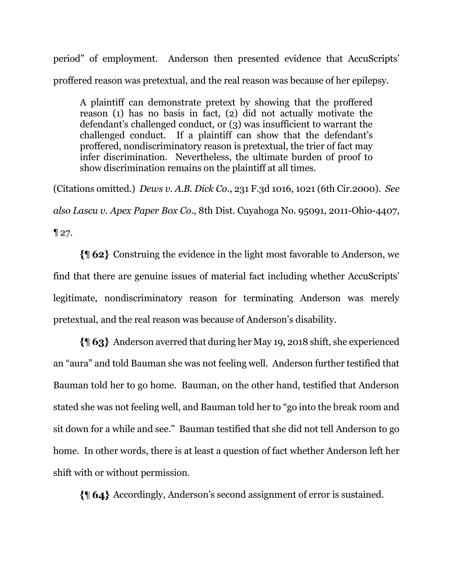period" of employment. Anderson then presented evidence that AccuScripts' proffered reason was pretextual, and the real reason was because of her epilepsy.

A plaintiff can demonstrate pretext by showing that the proffered reason (1) has no basis in fact, (2) did not actually motivate the defendant's challenged conduct, or (3) was insufficient to warrant the challenged conduct. If a plaintiff can show that the defendant's proffered, nondiscriminatory reason is pretextual, the trier of fact may infer discrimination. Nevertheless, the ultimate burden of proof to show discrimination remains on the plaintiff at all times.

(Citations omitted.) *Dews v. A.B. Dick Co*., 231 F.3d 1016, 1021 (6th Cir.2000). *See also Lascu v. Apex Paper Box Co*., 8th Dist. Cuyahoga No. 95091, 2011-Ohio-4407,  $\P 27.$ 

Construing the evidence in the light most favorable to Anderson, we find that there are genuine issues of material fact including whether AccuScripts' legitimate, nondiscriminatory reason for terminating Anderson was merely pretextual, and the real reason was because of Anderson's disability.

Anderson averred that during her May 19, 2018 shift, she experienced an "aura" and told Bauman she was not feeling well. Anderson further testified that Bauman told her to go home. Bauman, on the other hand, testified that Anderson stated she was not feeling well, and Bauman told her to "go into the break room and sit down for a while and see." Bauman testified that she did not tell Anderson to go home. In other words, there is at least a question of fact whether Anderson left her shift with or without permission.

Accordingly, Anderson's second assignment of error is sustained.